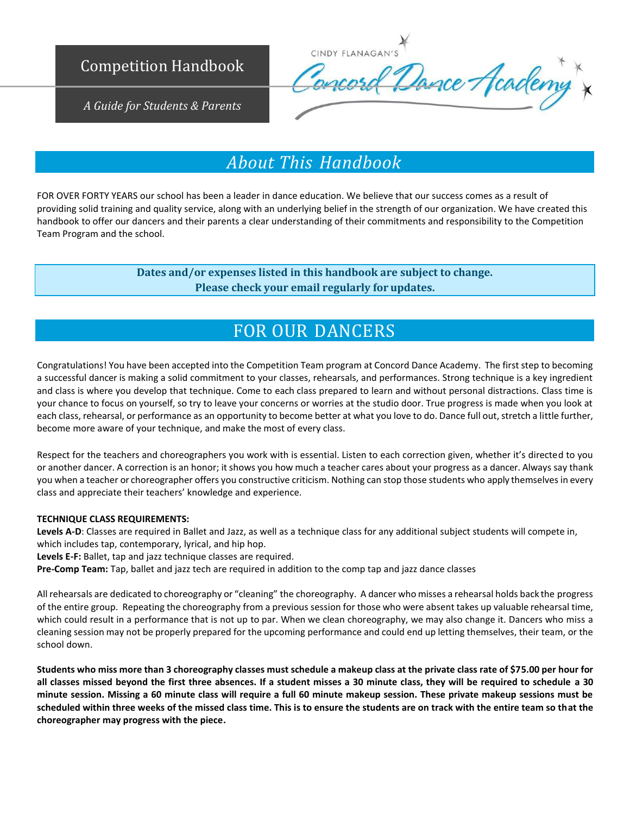

CINDY FLANAGAN'S Concord Dance Academy

*A Guide for Students & Parents*

## *About This Handbook*

FOR OVER FORTY YEARS our school has been a leader in dance education. We believe that our success comes as a result of providing solid training and quality service, along with an underlying belief in the strength of our organization. We have created this handbook to offer our dancers and their parents a clear understanding of their commitments and responsibility to the Competition Team Program and the school.

> **Dates and/or expenses listed in this handbook are subject to change. Please check your email regularly for updates.**

## FOR OUR DANCERS

Congratulations! You have been accepted into the Competition Team program at Concord Dance Academy. The first step to becoming a successful dancer is making a solid commitment to your classes, rehearsals, and performances. Strong technique is a key ingredient and class is where you develop that technique. Come to each class prepared to learn and without personal distractions. Class time is your chance to focus on yourself, so try to leave your concerns or worries at the studio door. True progress is made when you look at each class, rehearsal, or performance as an opportunity to become better at what you love to do. Dance full out, stretch a little further, become more aware of your technique, and make the most of every class.

Respect for the teachers and choreographers you work with is essential. Listen to each correction given, whether it's directed to you or another dancer. A correction is an honor; it shows you how much a teacher cares about your progress as a dancer. Always say thank you when a teacher or choreographer offers you constructive criticism. Nothing can stop those students who apply themselves in every class and appreciate their teachers' knowledge and experience.

### **TECHNIQUE CLASS REQUIREMENTS:**

**Levels A-D**: Classes are required in Ballet and Jazz, as well as a technique class for any additional subject students will compete in, which includes tap, contemporary, lyrical, and hip hop.

**Levels E-F:** Ballet, tap and jazz technique classes are required.

**Pre-Comp Team:** Tap, ballet and jazz tech are required in addition to the comp tap and jazz dance classes

All rehearsals are dedicated to choreography or "cleaning" the choreography. A dancer who misses a rehearsal holds back the progress of the entire group. Repeating the choreography from a previous session for those who were absent takes up valuable rehearsal time, which could result in a performance that is not up to par. When we clean choreography, we may also change it. Dancers who miss a cleaning session may not be properly prepared for the upcoming performance and could end up letting themselves, their team, or the school down.

**Students who miss more than 3 choreography classes must schedule a makeup class at the private class rate of \$75.00 per hour for all classes missed beyond the first three absences. If a student misses a 30 minute class, they will be required to schedule a 30 minute session. Missing a 60 minute class will require a full 60 minute makeup session. These private makeup sessions must be scheduled within three weeks of the missed class time. This is to ensure the students are on track with the entire team so that the choreographer may progress with the piece.**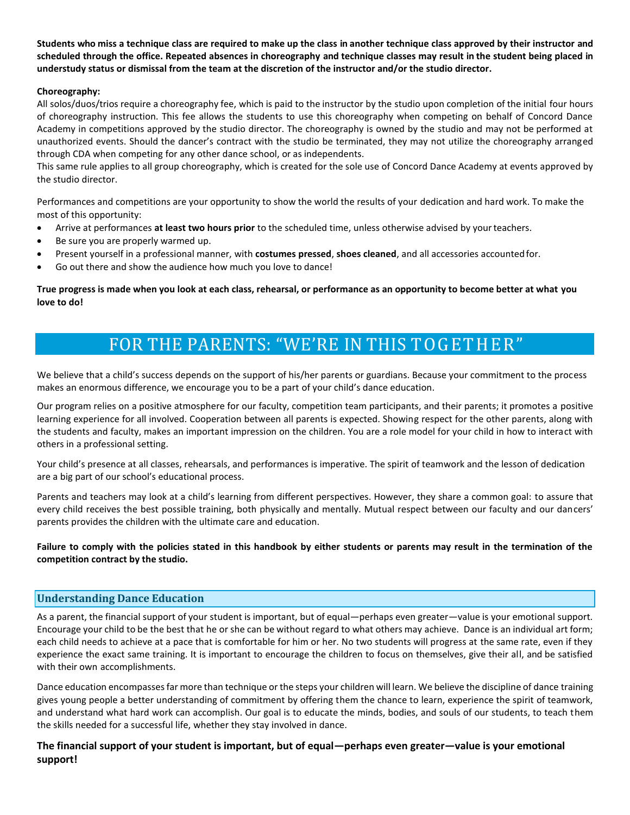**Students who miss a technique class are required to make up the class in another technique class approved by their instructor and scheduled through the office. Repeated absences in choreography and technique classes may result in the student being placed in understudy status or dismissal from the team at the discretion of the instructor and/or the studio director.**

## **Choreography:**

All solos/duos/trios require a choreography fee, which is paid to the instructor by the studio upon completion of the initial four hours of choreography instruction. This fee allows the students to use this choreography when competing on behalf of Concord Dance Academy in competitions approved by the studio director. The choreography is owned by the studio and may not be performed at unauthorized events. Should the dancer's contract with the studio be terminated, they may not utilize the choreography arranged through CDA when competing for any other dance school, or as independents.

This same rule applies to all group choreography, which is created for the sole use of Concord Dance Academy at events approved by the studio director.

Performances and competitions are your opportunity to show the world the results of your dedication and hard work. To make the most of this opportunity:

- Arrive at performances **at least two hours prior** to the scheduled time, unless otherwise advised by yourteachers.
- Be sure you are properly warmed up.
- Present yourself in a professional manner, with **costumes pressed**, **shoes cleaned**, and all accessories accountedfor.
- Go out there and show the audience how much you love to dance!

**True progress is made when you look at each class, rehearsal, or performance as an opportunity to become better at what you love to do!**

## FOR THE PARENTS: "WE'RE IN THIS TOGETHER"

We believe that a child's success depends on the support of his/her parents or guardians. Because your commitment to the process makes an enormous difference, we encourage you to be a part of your child's dance education.

Our program relies on a positive atmosphere for our faculty, competition team participants, and their parents; it promotes a positive learning experience for all involved. Cooperation between all parents is expected. Showing respect for the other parents, along with the students and faculty, makes an important impression on the children. You are a role model for your child in how to interact with others in a professional setting.

Your child's presence at all classes, rehearsals, and performances is imperative. The spirit of teamwork and the lesson of dedication are a big part of our school's educational process.

Parents and teachers may look at a child's learning from different perspectives. However, they share a common goal: to assure that every child receives the best possible training, both physically and mentally. Mutual respect between our faculty and our dancers' parents provides the children with the ultimate care and education.

**Failure to comply with the policies stated in this handbook by either students or parents may result in the termination of the competition contract by the studio.**

## **Understanding Dance Education**

As a parent, the financial support of your student is important, but of equal—perhaps even greater—value is your emotional support. Encourage your child to be the best that he or she can be without regard to what others may achieve. Dance is an individual art form; each child needs to achieve at a pace that is comfortable for him or her. No two students will progress at the same rate, even if they experience the exact same training. It is important to encourage the children to focus on themselves, give their all, and be satisfied with their own accomplishments.

Dance education encompasses far more than technique or the steps your children will learn. We believe the discipline of dance training gives young people a better understanding of commitment by offering them the chance to learn, experience the spirit of teamwork, and understand what hard work can accomplish. Our goal is to educate the minds, bodies, and souls of our students, to teach them the skills needed for a successful life, whether they stay involved in dance.

## **The financial support of your student is important, but of equal—perhaps even greater—value is your emotional support!**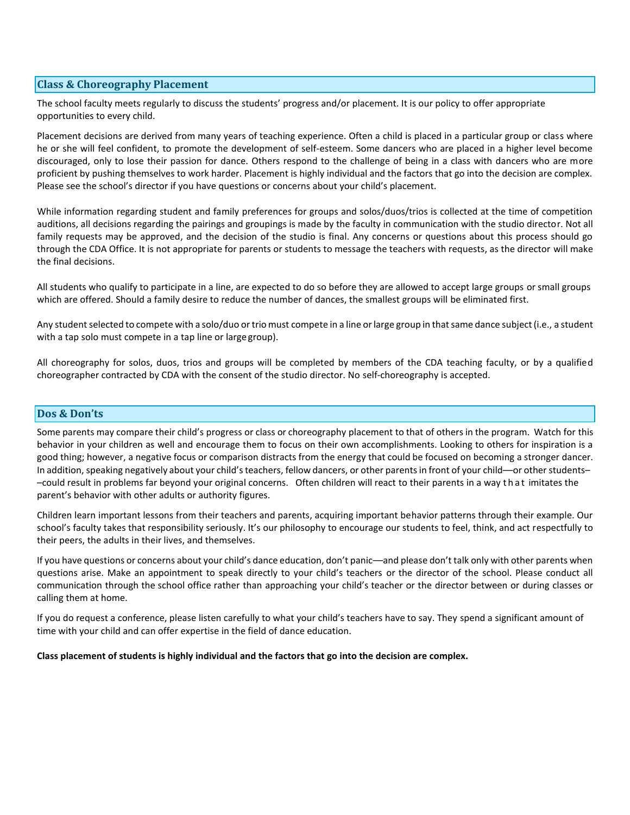## **Class & Choreography Placement**

The school faculty meets regularly to discuss the students' progress and/or placement. It is our policy to offer appropriate opportunities to every child.

Placement decisions are derived from many years of teaching experience. Often a child is placed in a particular group or class where he or she will feel confident, to promote the development of self-esteem. Some dancers who are placed in a higher level become discouraged, only to lose their passion for dance. Others respond to the challenge of being in a class with dancers who are more proficient by pushing themselves to work harder. Placement is highly individual and the factors that go into the decision are complex. Please see the school's director if you have questions or concerns about your child's placement.

While information regarding student and family preferences for groups and solos/duos/trios is collected at the time of competition auditions, all decisions regarding the pairings and groupings is made by the faculty in communication with the studio director. Not all family requests may be approved, and the decision of the studio is final. Any concerns or questions about this process should go through the CDA Office. It is not appropriate for parents or students to message the teachers with requests, as the director will make the final decisions.

All students who qualify to participate in a line, are expected to do so before they are allowed to accept large groups or small groups which are offered. Should a family desire to reduce the number of dances, the smallest groups will be eliminated first.

Any student selected to compete with a solo/duo or trio must compete in a line or large group in that same dance subject (i.e., a student with a tap solo must compete in a tap line or large group).

All choreography for solos, duos, trios and groups will be completed by members of the CDA teaching faculty, or by a qualified choreographer contracted by CDA with the consent of the studio director. No self-choreography is accepted.

### **Dos & Don'ts**

Some parents may compare their child's progress or class or choreography placement to that of others in the program. Watch for this behavior in your children as well and encourage them to focus on their own accomplishments. Looking to others for inspiration is a good thing; however, a negative focus or comparison distracts from the energy that could be focused on becoming a stronger dancer. In addition, speaking negatively about your child's teachers, fellow dancers, or other parents in front of your child—or other students– –could result in problems far beyond your original concerns. Often children will react to their parents in a way t h a t imitates the parent's behavior with other adults or authority figures.

Children learn important lessons from their teachers and parents, acquiring important behavior patterns through their example. Our school's faculty takes that responsibility seriously. It's our philosophy to encourage our students to feel, think, and act respectfully to their peers, the adults in their lives, and themselves.

If you have questions or concerns about your child's dance education, don't panic––and please don't talk only with other parents when questions arise. Make an appointment to speak directly to your child's teachers or the director of the school. Please conduct all communication through the school office rather than approaching your child's teacher or the director between or during classes or calling them at home.

If you do request a conference, please listen carefully to what your child's teachers have to say. They spend a significant amount of time with your child and can offer expertise in the field of dance education.

**Class placement of students is highly individual and the factors that go into the decision are complex.**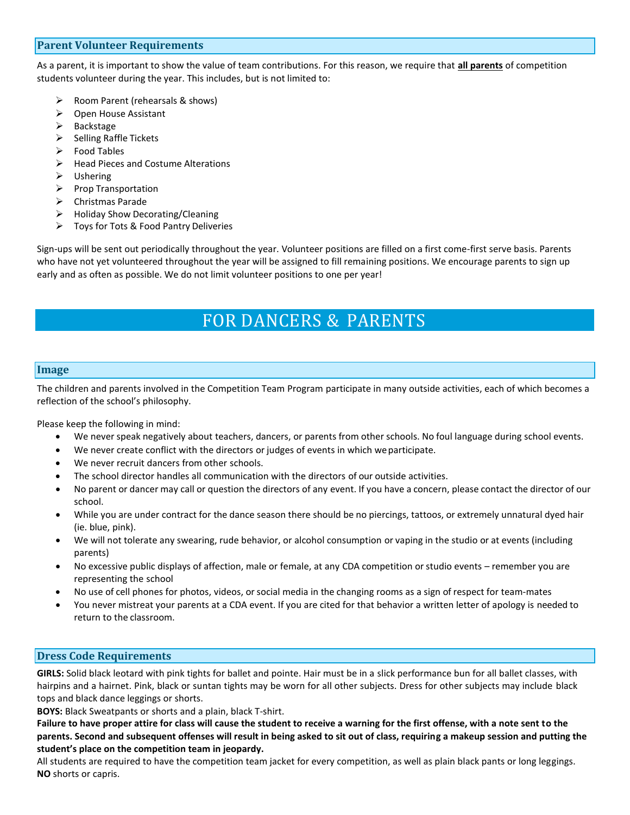## **Parent Volunteer Requirements**

As a parent, it is important to show the value of team contributions. For this reason, we require that **all parents** of competition students volunteer during the year. This includes, but is not limited to:

- ➢ Room Parent (rehearsals & shows)
- ➢ Open House Assistant
- ➢ Backstage
- $\triangleright$  Selling Raffle Tickets
- ➢ Food Tables
- ➢ Head Pieces and Costume Alterations
- ➢ Ushering
- ➢ Prop Transportation
- ➢ Christmas Parade
- ➢ Holiday Show Decorating/Cleaning
- ➢ Toys for Tots & Food Pantry Deliveries

Sign-ups will be sent out periodically throughout the year. Volunteer positions are filled on a first come-first serve basis. Parents who have not yet volunteered throughout the year will be assigned to fill remaining positions. We encourage parents to sign up early and as often as possible. We do not limit volunteer positions to one per year!

## FOR DANCERS & PARENTS

### **Image**

The children and parents involved in the Competition Team Program participate in many outside activities, each of which becomes a reflection of the school's philosophy.

Please keep the following in mind:

- We never speak negatively about teachers, dancers, or parents from other schools. No foul language during school events.
- We never create conflict with the directors or judges of events in which we participate.
- We never recruit dancers from other schools.
- The school director handles all communication with the directors of our outside activities.
- No parent or dancer may call or question the directors of any event. If you have a concern, please contact the director of our school.
- While you are under contract for the dance season there should be no piercings, tattoos, or extremely unnatural dyed hair (ie. blue, pink).
- We will not tolerate any swearing, rude behavior, or alcohol consumption or vaping in the studio or at events (including parents)
- No excessive public displays of affection, male or female, at any CDA competition or studio events remember you are representing the school
- No use of cell phones for photos, videos, or social media in the changing rooms as a sign of respect for team-mates
- You never mistreat your parents at a CDA event. If you are cited for that behavior a written letter of apology is needed to return to the classroom.

## **Dress Code Requirements**

**GIRLS:** Solid black leotard with pink tights for ballet and pointe. Hair must be in a slick performance bun for all ballet classes, with hairpins and a hairnet. Pink, black or suntan tights may be worn for all other subjects. Dress for other subjects may include black tops and black dance leggings or shorts.

**BOYS:** Black Sweatpants or shorts and a plain, black T-shirt.

**Failure to have proper attire for class will cause the student to receive a warning for the first offense, with a note sent to the parents. Second and subsequent offenses will result in being asked to sit out of class, requiring a makeup session and putting the student's place on the competition team in jeopardy.**

All students are required to have the competition team jacket for every competition, as well as plain black pants or long leggings. **NO** shorts or capris.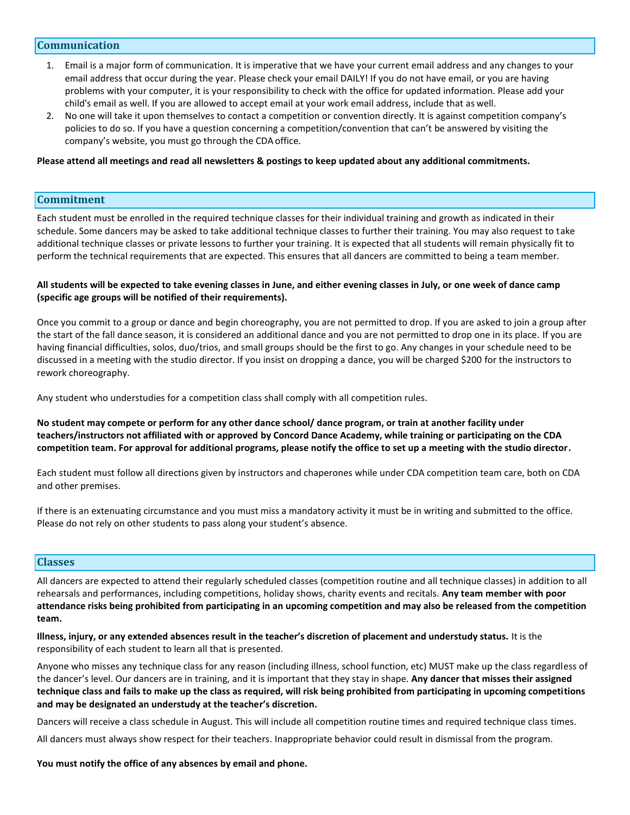### **Communication**

- 1. Email is a major form of communication. It is imperative that we have your current email address and any changes to your email address that occur during the year. Please check your email DAILY! If you do not have email, or you are having problems with your computer, it is your responsibility to check with the office for updated information. Please add your child's email as well. If you are allowed to accept email at your work email address, include that as well.
- 2. No one will take it upon themselves to contact a competition or convention directly. It is against competition company's policies to do so. If you have a question concerning a competition/convention that can't be answered by visiting the company's website, you must go through the CDA office.

#### **Please attend all meetings and read all newsletters & postings to keep updated about any additional commitments.**

#### **Commitment**

Each student must be enrolled in the required technique classes for their individual training and growth as indicated in their schedule. Some dancers may be asked to take additional technique classes to further their training. You may also request to take additional technique classes or private lessons to further your training. It is expected that all students will remain physically fit to perform the technical requirements that are expected. This ensures that all dancers are committed to being a team member.

#### **All students will be expected to take evening classes in June, and either evening classes in July, or one week of dance camp (specific age groups will be notified of their requirements).**

Once you commit to a group or dance and begin choreography, you are not permitted to drop. If you are asked to join a group after the start of the fall dance season, it is considered an additional dance and you are not permitted to drop one in its place. If you are having financial difficulties, solos, duo/trios, and small groups should be the first to go. Any changes in your schedule need to be discussed in a meeting with the studio director. If you insist on dropping a dance, you will be charged \$200 for the instructors to rework choreography.

Any student who understudies for a competition class shall comply with all competition rules.

## **No student may compete or perform for any other dance school/ dance program, or train at another facility under teachers/instructors not affiliated with or approved by Concord Dance Academy, while training or participating on the CDA competition team. For approval for additional programs, please notify the office to set up a meeting with the studio director.**

Each student must follow all directions given by instructors and chaperones while under CDA competition team care, both on CDA and other premises.

If there is an extenuating circumstance and you must miss a mandatory activity it must be in writing and submitted to the office. Please do not rely on other students to pass along your student's absence.

#### **Classes**

All dancers are expected to attend their regularly scheduled classes (competition routine and all technique classes) in addition to all rehearsals and performances, including competitions, holiday shows, charity events and recitals. **Any team member with poor attendance risks being prohibited from participating in an upcoming competition and may also be released from the competition team.**

**Illness, injury, or any extended absences result in the teacher's discretion of placement and understudy status.** It is the responsibility of each student to learn all that is presented.

Anyone who misses any technique class for any reason (including illness, school function, etc) MUST make up the class regardless of the dancer's level. Our dancers are in training, and it is important that they stay in shape. **Any dancer that misses their assigned technique class and fails to make up the class as required, will risk being prohibited from participating in upcoming competitions and may be designated an understudy at the teacher's discretion.**

Dancers will receive a class schedule in August. This will include all competition routine times and required technique class times.

All dancers must always show respect for their teachers. Inappropriate behavior could result in dismissal from the program.

#### **You must notify the office of any absences by email and phone.**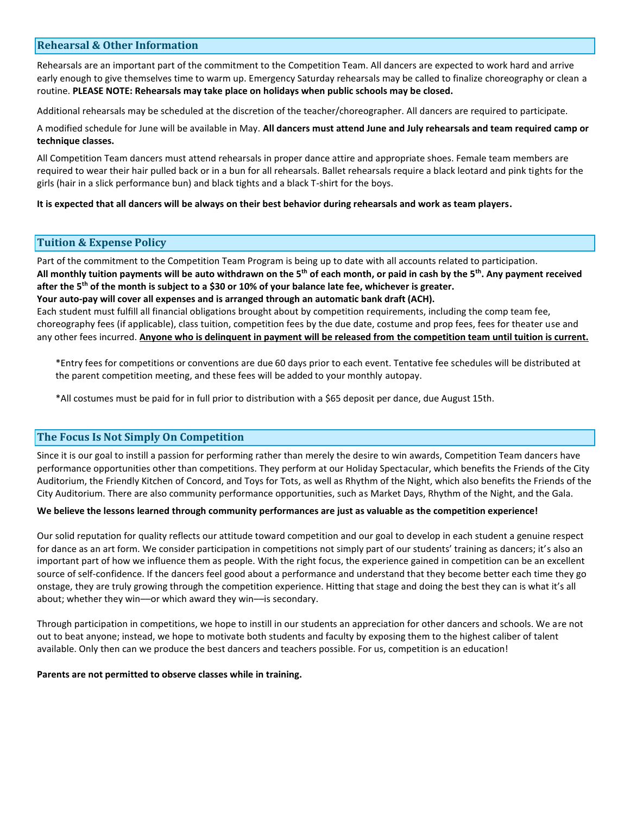## **Rehearsal & Other Information**

Rehearsals are an important part of the commitment to the Competition Team. All dancers are expected to work hard and arrive early enough to give themselves time to warm up. Emergency Saturday rehearsals may be called to finalize choreography or clean a routine. **PLEASE NOTE: Rehearsals may take place on holidays when public schools may be closed.**

Additional rehearsals may be scheduled at the discretion of the teacher/choreographer. All dancers are required to participate.

A modified schedule for June will be available in May. **All dancers must attend June and July rehearsals and team required camp or technique classes.**

All Competition Team dancers must attend rehearsals in proper dance attire and appropriate shoes. Female team members are required to wear their hair pulled back or in a bun for all rehearsals. Ballet rehearsals require a black leotard and pink tights for the girls (hair in a slick performance bun) and black tights and a black T-shirt for the boys.

#### **It is expected that all dancers will be always on their best behavior during rehearsals and work as team players.**

## **Tuition & Expense Policy**

Part of the commitment to the Competition Team Program is being up to date with all accounts related to participation. **All monthly tuition payments will be auto withdrawn on the 5th of each month, or paid in cash by the 5th. Any payment received after the 5th of the month is subject to a \$30 or 10% of your balance late fee, whichever is greater. Your auto-pay will cover all expenses and is arranged through an automatic bank draft (ACH).** Each student must fulfill all financial obligations brought about by competition requirements, including the comp team fee, choreography fees (if applicable), class tuition, competition fees by the due date, costume and prop fees, fees for theater use and

any other fees incurred. **Anyone who is delinquent in payment will be released from the competition team until tuition is current.**

\*Entry fees for competitions or conventions are due 60 days prior to each event. Tentative fee schedules will be distributed at the parent competition meeting, and these fees will be added to your monthly autopay.

\*All costumes must be paid for in full prior to distribution with a \$65 deposit per dance, due August 15th.

### **The Focus Is Not Simply On Competition**

Since it is our goal to instill a passion for performing rather than merely the desire to win awards, Competition Team dancers have performance opportunities other than competitions. They perform at our Holiday Spectacular, which benefits the Friends of the City Auditorium, the Friendly Kitchen of Concord, and Toys for Tots, as well as Rhythm of the Night, which also benefits the Friends of the City Auditorium. There are also community performance opportunities, such as Market Days, Rhythm of the Night, and the Gala.

#### **We believe the lessons learned through community performances are just as valuable as the competition experience!**

Our solid reputation for quality reflects our attitude toward competition and our goal to develop in each student a genuine respect for dance as an art form. We consider participation in competitions not simply part of our students' training as dancers; it's also an important part of how we influence them as people. With the right focus, the experience gained in competition can be an excellent source of self-confidence. If the dancers feel good about a performance and understand that they become better each time they go onstage, they are truly growing through the competition experience. Hitting that stage and doing the best they can is what it's all about; whether they win––or which award they win––is secondary.

Through participation in competitions, we hope to instill in our students an appreciation for other dancers and schools. We are not out to beat anyone; instead, we hope to motivate both students and faculty by exposing them to the highest caliber of talent available. Only then can we produce the best dancers and teachers possible. For us, competition is an education!

#### **Parents are not permitted to observe classes while in training.**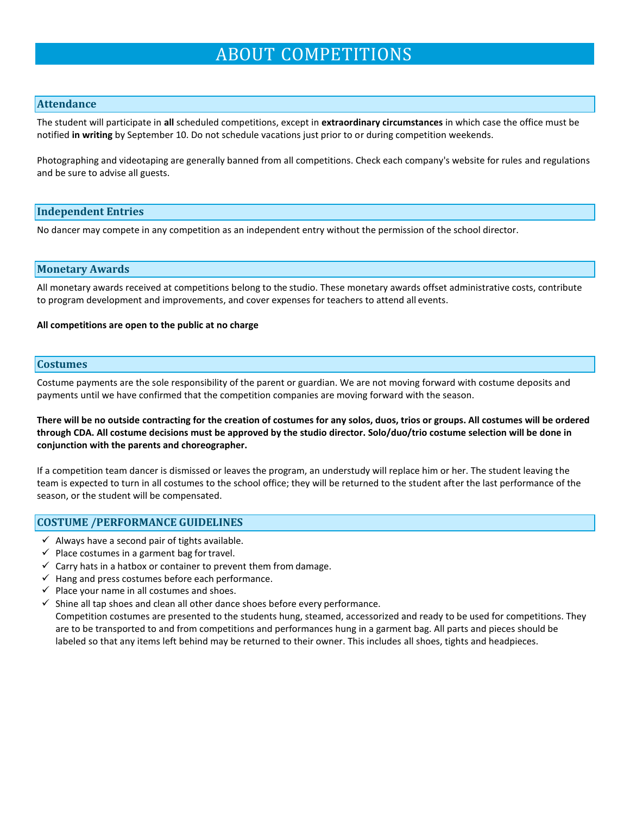## ABOUT COMPETITIONS

## **Attendance**

The student will participate in **all** scheduled competitions, except in **extraordinary circumstances** in which case the office must be notified **in writing** by September 10. Do not schedule vacations just prior to or during competition weekends.

Photographing and videotaping are generally banned from all competitions. Check each company's website for rules and regulations and be sure to advise all guests.

### **Independent Entries**

No dancer may compete in any competition as an independent entry without the permission of the school director.

#### **Monetary Awards**

All monetary awards received at competitions belong to the studio. These monetary awards offset administrative costs, contribute to program development and improvements, and cover expenses for teachers to attend all events.

#### **All competitions are open to the public at no charge**

#### **Costumes**

Costume payments are the sole responsibility of the parent or guardian. We are not moving forward with costume deposits and payments until we have confirmed that the competition companies are moving forward with the season.

**There will be no outside contracting for the creation of costumes for any solos, duos, trios or groups. All costumes will be ordered through CDA. All costume decisions must be approved by the studio director. Solo/duo/trio costume selection will be done in conjunction with the parents and choreographer.**

If a competition team dancer is dismissed or leaves the program, an understudy will replace him or her. The student leaving the team is expected to turn in all costumes to the school office; they will be returned to the student after the last performance of the season, or the student will be compensated.

#### **COSTUME /PERFORMANCE GUIDELINES**

- $\checkmark$  Always have a second pair of tights available.
- $\checkmark$  Place costumes in a garment bag for travel.
- $\checkmark$  Carry hats in a hatbox or container to prevent them from damage.
- $\checkmark$  Hang and press costumes before each performance.
- $\checkmark$  Place your name in all costumes and shoes.
- $\checkmark$  Shine all tap shoes and clean all other dance shoes before every performance.

Competition costumes are presented to the students hung, steamed, accessorized and ready to be used for competitions. They are to be transported to and from competitions and performances hung in a garment bag. All parts and pieces should be labeled so that any items left behind may be returned to their owner. This includes all shoes, tights and headpieces.